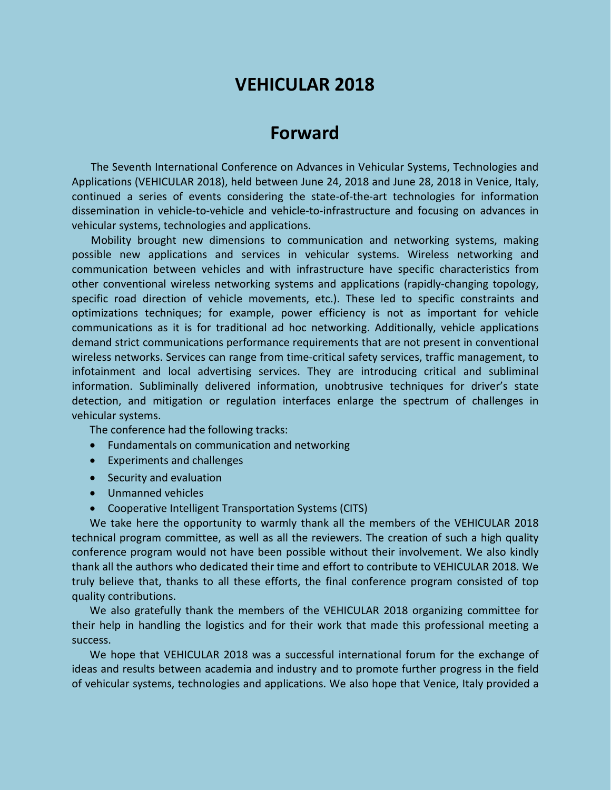# **VEHICULAR 2018**

## **Forward**

The Seventh International Conference on Advances in Vehicular Systems, Technologies and Applications (VEHICULAR 2018), held between June 24, 2018 and June 28, 2018 in Venice, Italy, continued a series of events considering the state-of-the-art technologies for information dissemination in vehicle-to-vehicle and vehicle-to-infrastructure and focusing on advances in vehicular systems, technologies and applications.

Mobility brought new dimensions to communication and networking systems, making possible new applications and services in vehicular systems. Wireless networking and communication between vehicles and with infrastructure have specific characteristics from other conventional wireless networking systems and applications (rapidly-changing topology, specific road direction of vehicle movements, etc.). These led to specific constraints and optimizations techniques; for example, power efficiency is not as important for vehicle communications as it is for traditional ad hoc networking. Additionally, vehicle applications demand strict communications performance requirements that are not present in conventional wireless networks. Services can range from time-critical safety services, traffic management, to infotainment and local advertising services. They are introducing critical and subliminal information. Subliminally delivered information, unobtrusive techniques for driver's state detection, and mitigation or regulation interfaces enlarge the spectrum of challenges in vehicular systems.

The conference had the following tracks:

- Fundamentals on communication and networking
- Experiments and challenges
- Security and evaluation
- Unmanned vehicles
- Cooperative Intelligent Transportation Systems (CITS)

We take here the opportunity to warmly thank all the members of the VEHICULAR 2018 technical program committee, as well as all the reviewers. The creation of such a high quality conference program would not have been possible without their involvement. We also kindly thank all the authors who dedicated their time and effort to contribute to VEHICULAR 2018. We truly believe that, thanks to all these efforts, the final conference program consisted of top quality contributions.

We also gratefully thank the members of the VEHICULAR 2018 organizing committee for their help in handling the logistics and for their work that made this professional meeting a success.

We hope that VEHICULAR 2018 was a successful international forum for the exchange of ideas and results between academia and industry and to promote further progress in the field of vehicular systems, technologies and applications. We also hope that Venice, Italy provided a